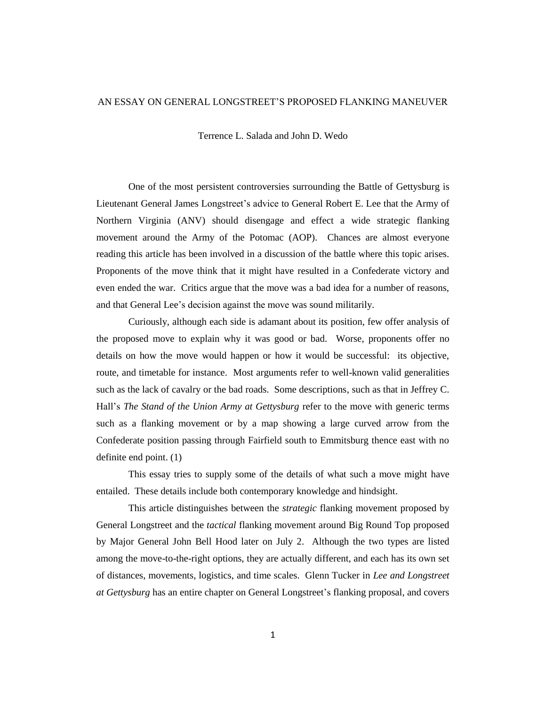## AN ESSAY ON GENERAL LONGSTREET'S PROPOSED FLANKING MANEUVER

Terrence L. Salada and John D. Wedo

One of the most persistent controversies surrounding the Battle of Gettysburg is Lieutenant General James Longstreet's advice to General Robert E. Lee that the Army of Northern Virginia (ANV) should disengage and effect a wide strategic flanking movement around the Army of the Potomac (AOP). Chances are almost everyone reading this article has been involved in a discussion of the battle where this topic arises. Proponents of the move think that it might have resulted in a Confederate victory and even ended the war. Critics argue that the move was a bad idea for a number of reasons, and that General Lee's decision against the move was sound militarily.

Curiously, although each side is adamant about its position, few offer analysis of the proposed move to explain why it was good or bad. Worse, proponents offer no details on how the move would happen or how it would be successful: its objective, route, and timetable for instance. Most arguments refer to well-known valid generalities such as the lack of cavalry or the bad roads. Some descriptions, such as that in Jeffrey C. Hall's *The Stand of the Union Army at Gettysburg* refer to the move with generic terms such as a flanking movement or by a map showing a large curved arrow from the Confederate position passing through Fairfield south to Emmitsburg thence east with no definite end point. (1)

This essay tries to supply some of the details of what such a move might have entailed. These details include both contemporary knowledge and hindsight.

This article distinguishes between the *strategic* flanking movement proposed by General Longstreet and the *tactical* flanking movement around Big Round Top proposed by Major General John Bell Hood later on July 2. Although the two types are listed among the move-to-the-right options, they are actually different, and each has its own set of distances, movements, logistics, and time scales. Glenn Tucker in *Lee and Longstreet at Gettysburg* has an entire chapter on General Longstreet's flanking proposal, and covers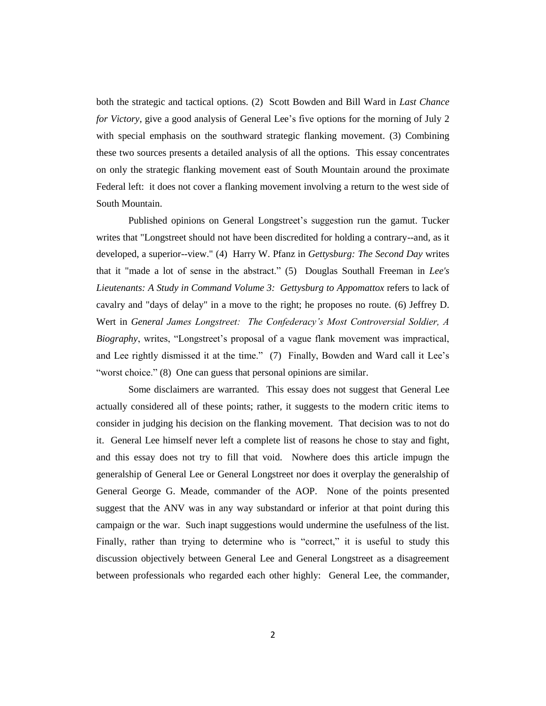both the strategic and tactical options. (2) Scott Bowden and Bill Ward in *Last Chance for Victory*, give a good analysis of General Lee's five options for the morning of July 2 with special emphasis on the southward strategic flanking movement. (3) Combining these two sources presents a detailed analysis of all the options. This essay concentrates on only the strategic flanking movement east of South Mountain around the proximate Federal left: it does not cover a flanking movement involving a return to the west side of South Mountain.

Published opinions on General Longstreet's suggestion run the gamut. Tucker writes that "Longstreet should not have been discredited for holding a contrary--and, as it developed, a superior--view." (4) Harry W. Pfanz in *Gettysburg: The Second Day* writes that it "made a lot of sense in the abstract." (5) Douglas Southall Freeman in *Lee's Lieutenants: A Study in Command Volume 3: Gettysburg to Appomattox* refers to lack of cavalry and "days of delay" in a move to the right; he proposes no route. (6) Jeffrey D. Wert in *General James Longstreet: The Confederacy's Most Controversial Soldier, A Biography*, writes, "Longstreet's proposal of a vague flank movement was impractical, and Lee rightly dismissed it at the time." (7) Finally, Bowden and Ward call it Lee's "worst choice." (8) One can guess that personal opinions are similar.

Some disclaimers are warranted. This essay does not suggest that General Lee actually considered all of these points; rather, it suggests to the modern critic items to consider in judging his decision on the flanking movement. That decision was to not do it. General Lee himself never left a complete list of reasons he chose to stay and fight, and this essay does not try to fill that void. Nowhere does this article impugn the generalship of General Lee or General Longstreet nor does it overplay the generalship of General George G. Meade, commander of the AOP. None of the points presented suggest that the ANV was in any way substandard or inferior at that point during this campaign or the war. Such inapt suggestions would undermine the usefulness of the list. Finally, rather than trying to determine who is "correct," it is useful to study this discussion objectively between General Lee and General Longstreet as a disagreement between professionals who regarded each other highly: General Lee, the commander,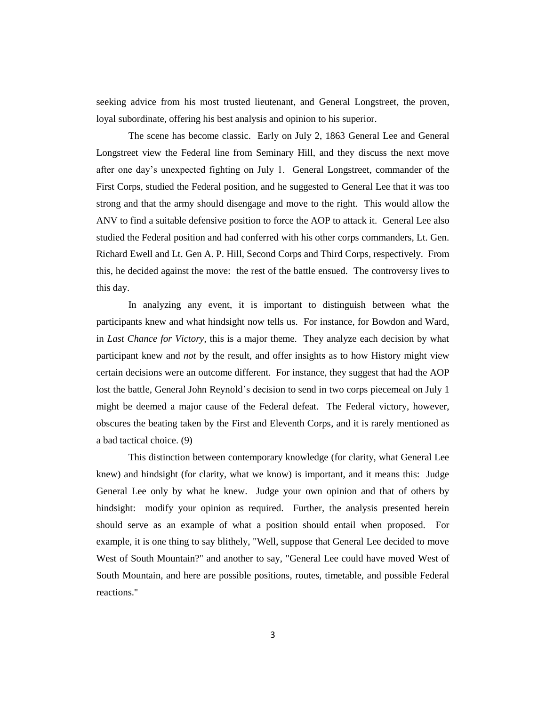seeking advice from his most trusted lieutenant, and General Longstreet, the proven, loyal subordinate, offering his best analysis and opinion to his superior.

The scene has become classic. Early on July 2, 1863 General Lee and General Longstreet view the Federal line from Seminary Hill, and they discuss the next move after one day's unexpected fighting on July 1. General Longstreet, commander of the First Corps, studied the Federal position, and he suggested to General Lee that it was too strong and that the army should disengage and move to the right. This would allow the ANV to find a suitable defensive position to force the AOP to attack it. General Lee also studied the Federal position and had conferred with his other corps commanders, Lt. Gen. Richard Ewell and Lt. Gen A. P. Hill, Second Corps and Third Corps, respectively. From this, he decided against the move: the rest of the battle ensued. The controversy lives to this day.

In analyzing any event, it is important to distinguish between what the participants knew and what hindsight now tells us. For instance, for Bowdon and Ward, in *Last Chance for Victory*, this is a major theme. They analyze each decision by what participant knew and *not* by the result, and offer insights as to how History might view certain decisions were an outcome different. For instance, they suggest that had the AOP lost the battle, General John Reynold's decision to send in two corps piecemeal on July 1 might be deemed a major cause of the Federal defeat. The Federal victory, however, obscures the beating taken by the First and Eleventh Corps, and it is rarely mentioned as a bad tactical choice. (9)

This distinction between contemporary knowledge (for clarity, what General Lee knew) and hindsight (for clarity, what we know) is important, and it means this: Judge General Lee only by what he knew. Judge your own opinion and that of others by hindsight: modify your opinion as required. Further, the analysis presented herein should serve as an example of what a position should entail when proposed. For example, it is one thing to say blithely, "Well, suppose that General Lee decided to move West of South Mountain?" and another to say, "General Lee could have moved West of South Mountain, and here are possible positions, routes, timetable, and possible Federal reactions."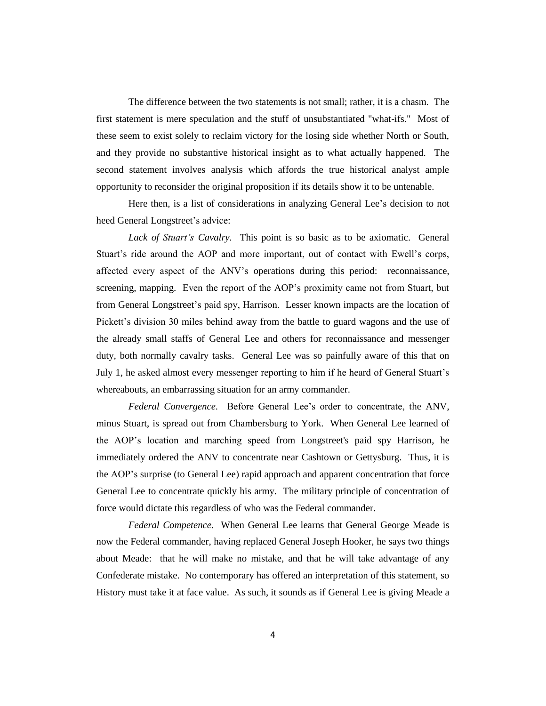The difference between the two statements is not small; rather, it is a chasm. The first statement is mere speculation and the stuff of unsubstantiated "what-ifs." Most of these seem to exist solely to reclaim victory for the losing side whether North or South, and they provide no substantive historical insight as to what actually happened. The second statement involves analysis which affords the true historical analyst ample opportunity to reconsider the original proposition if its details show it to be untenable.

Here then, is a list of considerations in analyzing General Lee's decision to not heed General Longstreet's advice:

*Lack of Stuart's Cavalry.* This point is so basic as to be axiomatic. General Stuart's ride around the AOP and more important, out of contact with Ewell's corps, affected every aspect of the ANV's operations during this period: reconnaissance, screening, mapping. Even the report of the AOP's proximity came not from Stuart, but from General Longstreet's paid spy, Harrison. Lesser known impacts are the location of Pickett's division 30 miles behind away from the battle to guard wagons and the use of the already small staffs of General Lee and others for reconnaissance and messenger duty, both normally cavalry tasks. General Lee was so painfully aware of this that on July 1, he asked almost every messenger reporting to him if he heard of General Stuart's whereabouts, an embarrassing situation for an army commander.

*Federal Convergence.* Before General Lee's order to concentrate, the ANV, minus Stuart, is spread out from Chambersburg to York. When General Lee learned of the AOP's location and marching speed from Longstreet's paid spy Harrison, he immediately ordered the ANV to concentrate near Cashtown or Gettysburg. Thus, it is the AOP's surprise (to General Lee) rapid approach and apparent concentration that force General Lee to concentrate quickly his army. The military principle of concentration of force would dictate this regardless of who was the Federal commander.

*Federal Competence.* When General Lee learns that General George Meade is now the Federal commander, having replaced General Joseph Hooker, he says two things about Meade: that he will make no mistake, and that he will take advantage of any Confederate mistake. No contemporary has offered an interpretation of this statement, so History must take it at face value. As such, it sounds as if General Lee is giving Meade a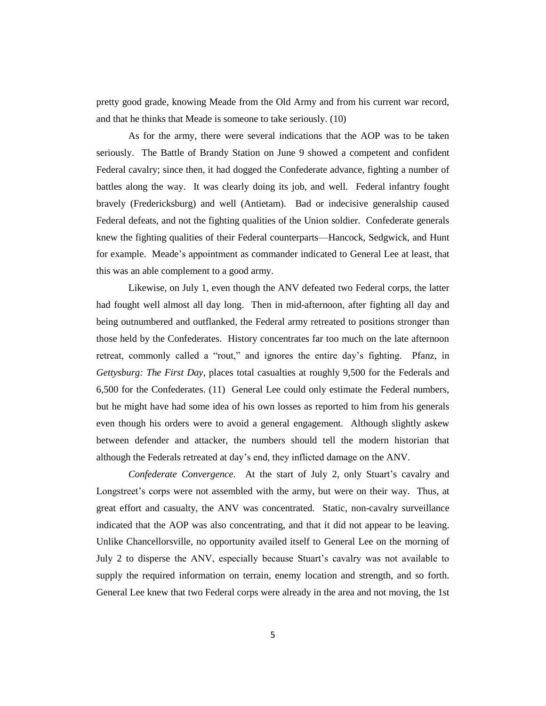pretty good grade, knowing Meade from the Old Army and from his current war record, and that he thinks that Meade is someone to take seriously. (10)

As for the army, there were several indications that the AOP was to be taken seriously. The Battle of Brandy Station on June 9 showed a competent and confident Federal cavalry; since then, it had dogged the Confederate advance, fighting a number of battles along the way. It was clearly doing its job, and well. Federal infantry fought bravely (Fredericksburg) and well (Antietam). Bad or indecisive generalship caused Federal defeats, and not the fighting qualities of the Union soldier. Confederate generals knew the fighting qualities of their Federal counterparts—Hancock, Sedgwick, and Hunt for example. Meade's appointment as commander indicated to General Lee at least, that this was an able complement to a good army.

Likewise, on July 1, even though the ANV defeated two Federal corps, the latter had fought well almost all day long. Then in mid-afternoon, after fighting all day and being outnumbered and outflanked, the Federal army retreated to positions stronger than those held by the Confederates. History concentrates far too much on the late afternoon retreat, commonly called a "rout," and ignores the entire day's fighting. Pfanz, in *Gettysburg: The First Day*, places total casualties at roughly 9,500 for the Federals and 6,500 for the Confederates. (11) General Lee could only estimate the Federal numbers, but he might have had some idea of his own losses as reported to him from his generals even though his orders were to avoid a general engagement. Although slightly askew between defender and attacker, the numbers should tell the modern historian that although the Federals retreated at day's end, they inflicted damage on the ANV.

*Confederate Convergence.* At the start of July 2, only Stuart's cavalry and Longstreet's corps were not assembled with the army, but were on their way. Thus, at great effort and casualty, the ANV was concentrated. Static, non-cavalry surveillance indicated that the AOP was also concentrating, and that it did not appear to be leaving. Unlike Chancellorsville, no opportunity availed itself to General Lee on the morning of July 2 to disperse the ANV, especially because Stuart's cavalry was not available to supply the required information on terrain, enemy location and strength, and so forth. General Lee knew that two Federal corps were already in the area and not moving, the 1st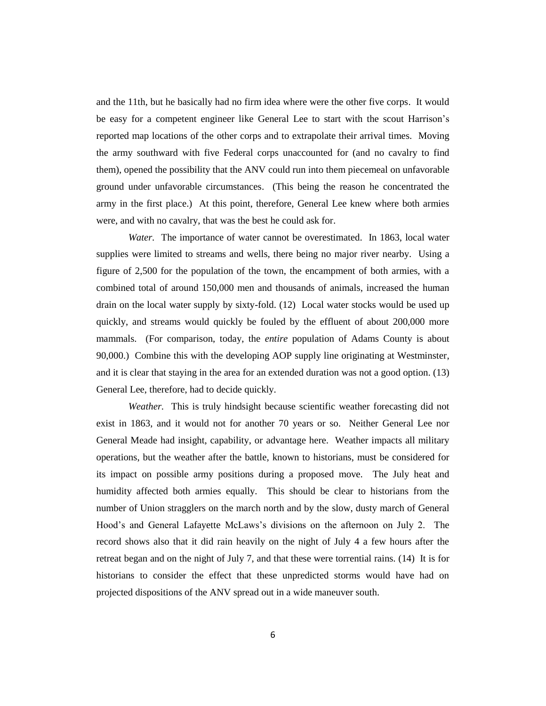and the 11th, but he basically had no firm idea where were the other five corps. It would be easy for a competent engineer like General Lee to start with the scout Harrison's reported map locations of the other corps and to extrapolate their arrival times. Moving the army southward with five Federal corps unaccounted for (and no cavalry to find them), opened the possibility that the ANV could run into them piecemeal on unfavorable ground under unfavorable circumstances. (This being the reason he concentrated the army in the first place.) At this point, therefore, General Lee knew where both armies were, and with no cavalry, that was the best he could ask for.

*Water.* The importance of water cannot be overestimated. In 1863, local water supplies were limited to streams and wells, there being no major river nearby. Using a figure of 2,500 for the population of the town, the encampment of both armies, with a combined total of around 150,000 men and thousands of animals, increased the human drain on the local water supply by sixty-fold. (12) Local water stocks would be used up quickly, and streams would quickly be fouled by the effluent of about 200,000 more mammals. (For comparison, today, the *entire* population of Adams County is about 90,000.) Combine this with the developing AOP supply line originating at Westminster, and it is clear that staying in the area for an extended duration was not a good option. (13) General Lee, therefore, had to decide quickly.

*Weather.* This is truly hindsight because scientific weather forecasting did not exist in 1863, and it would not for another 70 years or so. Neither General Lee nor General Meade had insight, capability, or advantage here. Weather impacts all military operations, but the weather after the battle, known to historians, must be considered for its impact on possible army positions during a proposed move. The July heat and humidity affected both armies equally. This should be clear to historians from the number of Union stragglers on the march north and by the slow, dusty march of General Hood's and General Lafayette McLaws's divisions on the afternoon on July 2. The record shows also that it did rain heavily on the night of July 4 a few hours after the retreat began and on the night of July 7, and that these were torrential rains. (14) It is for historians to consider the effect that these unpredicted storms would have had on projected dispositions of the ANV spread out in a wide maneuver south.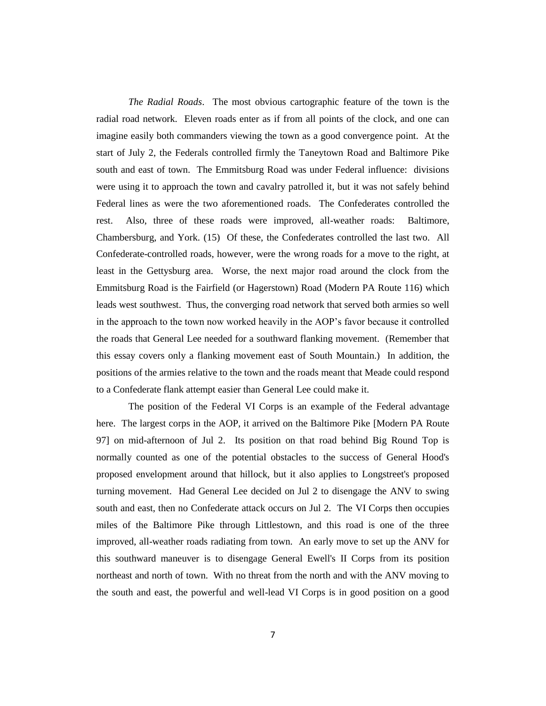*The Radial Roads*. The most obvious cartographic feature of the town is the radial road network. Eleven roads enter as if from all points of the clock, and one can imagine easily both commanders viewing the town as a good convergence point. At the start of July 2, the Federals controlled firmly the Taneytown Road and Baltimore Pike south and east of town. The Emmitsburg Road was under Federal influence: divisions were using it to approach the town and cavalry patrolled it, but it was not safely behind Federal lines as were the two aforementioned roads. The Confederates controlled the rest. Also, three of these roads were improved, all-weather roads: Baltimore, Chambersburg, and York. (15) Of these, the Confederates controlled the last two. All Confederate-controlled roads, however, were the wrong roads for a move to the right, at least in the Gettysburg area. Worse, the next major road around the clock from the Emmitsburg Road is the Fairfield (or Hagerstown) Road (Modern PA Route 116) which leads west southwest. Thus, the converging road network that served both armies so well in the approach to the town now worked heavily in the AOP's favor because it controlled the roads that General Lee needed for a southward flanking movement. (Remember that this essay covers only a flanking movement east of South Mountain.) In addition, the positions of the armies relative to the town and the roads meant that Meade could respond to a Confederate flank attempt easier than General Lee could make it.

The position of the Federal VI Corps is an example of the Federal advantage here. The largest corps in the AOP, it arrived on the Baltimore Pike [Modern PA Route 97] on mid-afternoon of Jul 2. Its position on that road behind Big Round Top is normally counted as one of the potential obstacles to the success of General Hood's proposed envelopment around that hillock, but it also applies to Longstreet's proposed turning movement. Had General Lee decided on Jul 2 to disengage the ANV to swing south and east, then no Confederate attack occurs on Jul 2. The VI Corps then occupies miles of the Baltimore Pike through Littlestown, and this road is one of the three improved, all-weather roads radiating from town. An early move to set up the ANV for this southward maneuver is to disengage General Ewell's II Corps from its position northeast and north of town. With no threat from the north and with the ANV moving to the south and east, the powerful and well-lead VI Corps is in good position on a good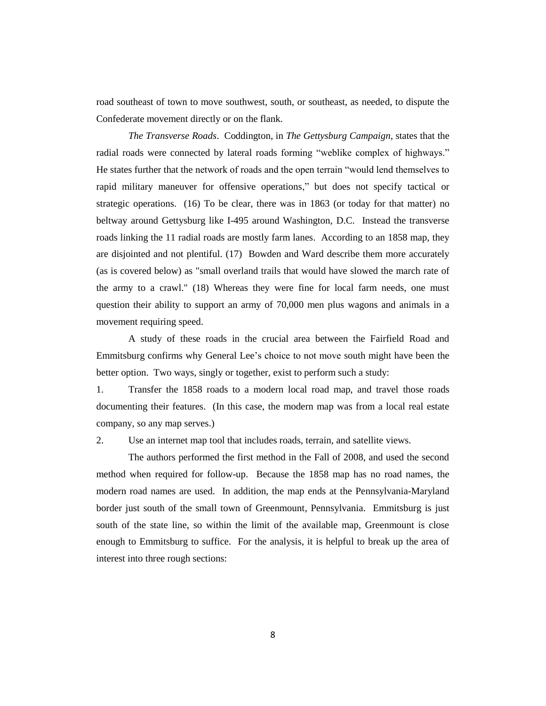road southeast of town to move southwest, south, or southeast, as needed, to dispute the Confederate movement directly or on the flank.

*The Transverse Roads*. Coddington, in *The Gettysburg Campaign*, states that the radial roads were connected by lateral roads forming "weblike complex of highways." He states further that the network of roads and the open terrain "would lend themselves to rapid military maneuver for offensive operations," but does not specify tactical or strategic operations. (16) To be clear, there was in 1863 (or today for that matter) no beltway around Gettysburg like I-495 around Washington, D.C. Instead the transverse roads linking the 11 radial roads are mostly farm lanes. According to an 1858 map, they are disjointed and not plentiful. (17) Bowden and Ward describe them more accurately (as is covered below) as "small overland trails that would have slowed the march rate of the army to a crawl." (18) Whereas they were fine for local farm needs, one must question their ability to support an army of 70,000 men plus wagons and animals in a movement requiring speed.

A study of these roads in the crucial area between the Fairfield Road and Emmitsburg confirms why General Lee's choice to not move south might have been the better option. Two ways, singly or together, exist to perform such a study:

1. Transfer the 1858 roads to a modern local road map, and travel those roads documenting their features. (In this case, the modern map was from a local real estate company, so any map serves.)

2. Use an internet map tool that includes roads, terrain, and satellite views.

The authors performed the first method in the Fall of 2008, and used the second method when required for follow-up. Because the 1858 map has no road names, the modern road names are used. In addition, the map ends at the Pennsylvania-Maryland border just south of the small town of Greenmount, Pennsylvania. Emmitsburg is just south of the state line, so within the limit of the available map, Greenmount is close enough to Emmitsburg to suffice. For the analysis, it is helpful to break up the area of interest into three rough sections: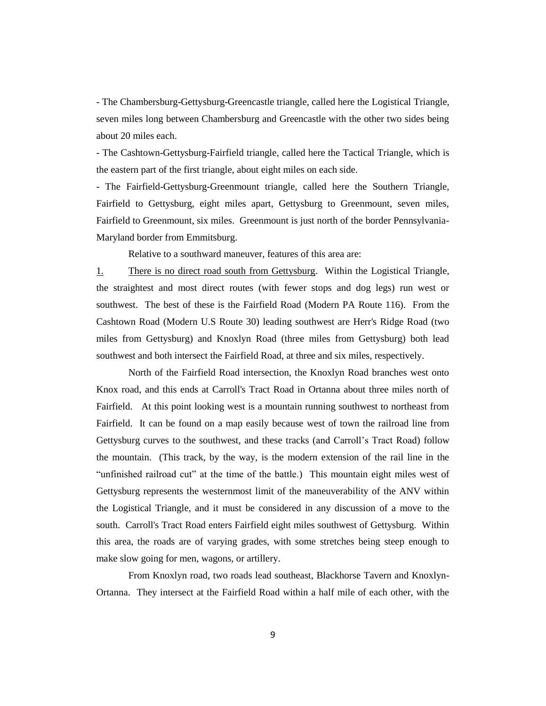- The Chambersburg-Gettysburg-Greencastle triangle, called here the Logistical Triangle, seven miles long between Chambersburg and Greencastle with the other two sides being about 20 miles each.

- The Cashtown-Gettysburg-Fairfield triangle, called here the Tactical Triangle, which is the eastern part of the first triangle, about eight miles on each side.

- The Fairfield-Gettysburg-Greenmount triangle, called here the Southern Triangle, Fairfield to Gettysburg, eight miles apart, Gettysburg to Greenmount, seven miles, Fairfield to Greenmount, six miles. Greenmount is just north of the border Pennsylvania-Maryland border from Emmitsburg.

Relative to a southward maneuver, features of this area are:

1. There is no direct road south from Gettysburg. Within the Logistical Triangle, the straightest and most direct routes (with fewer stops and dog legs) run west or southwest. The best of these is the Fairfield Road (Modern PA Route 116). From the Cashtown Road (Modern U.S Route 30) leading southwest are Herr's Ridge Road (two miles from Gettysburg) and Knoxlyn Road (three miles from Gettysburg) both lead southwest and both intersect the Fairfield Road, at three and six miles, respectively.

North of the Fairfield Road intersection, the Knoxlyn Road branches west onto Knox road, and this ends at Carroll's Tract Road in Ortanna about three miles north of Fairfield. At this point looking west is a mountain running southwest to northeast from Fairfield. It can be found on a map easily because west of town the railroad line from Gettysburg curves to the southwest, and these tracks (and Carroll's Tract Road) follow the mountain. (This track, by the way, is the modern extension of the rail line in the "unfinished railroad cut" at the time of the battle.) This mountain eight miles west of Gettysburg represents the westernmost limit of the maneuverability of the ANV within the Logistical Triangle, and it must be considered in any discussion of a move to the south. Carroll's Tract Road enters Fairfield eight miles southwest of Gettysburg. Within this area, the roads are of varying grades, with some stretches being steep enough to make slow going for men, wagons, or artillery.

From Knoxlyn road, two roads lead southeast, Blackhorse Tavern and Knoxlyn-Ortanna. They intersect at the Fairfield Road within a half mile of each other, with the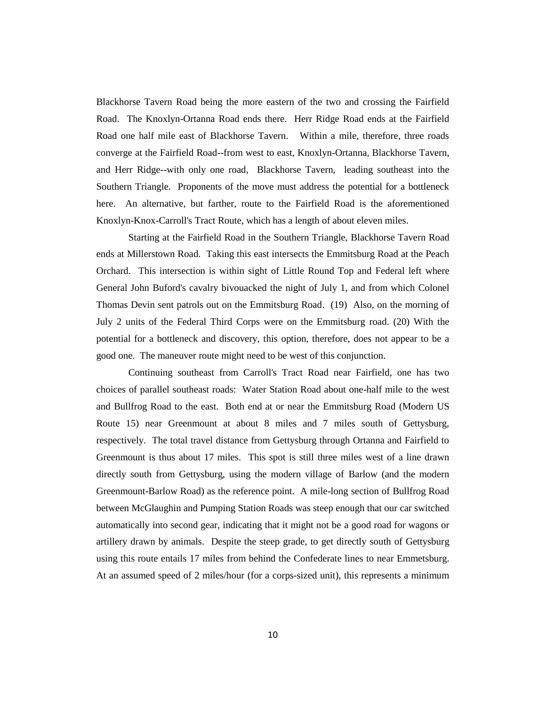Blackhorse Tavern Road being the more eastern of the two and crossing the Fairfield Road. The Knoxlyn-Ortanna Road ends there. Herr Ridge Road ends at the Fairfield Road one half mile east of Blackhorse Tavern. Within a mile, therefore, three roads converge at the Fairfield Road--from west to east, Knoxlyn-Ortanna, Blackhorse Tavern, and Herr Ridge--with only one road, Blackhorse Tavern, leading southeast into the Southern Triangle. Proponents of the move must address the potential for a bottleneck here. An alternative, but farther, route to the Fairfield Road is the aforementioned Knoxlyn-Knox-Carroll's Tract Route, which has a length of about eleven miles.

Starting at the Fairfield Road in the Southern Triangle, Blackhorse Tavern Road ends at Millerstown Road. Taking this east intersects the Emmitsburg Road at the Peach Orchard. This intersection is within sight of Little Round Top and Federal left where General John Buford's cavalry bivouacked the night of July 1, and from which Colonel Thomas Devin sent patrols out on the Emmitsburg Road. (19) Also, on the morning of July 2 units of the Federal Third Corps were on the Emmitsburg road. (20) With the potential for a bottleneck and discovery, this option, therefore, does not appear to be a good one. The maneuver route might need to be west of this conjunction.

Continuing southeast from Carroll's Tract Road near Fairfield, one has two choices of parallel southeast roads: Water Station Road about one-half mile to the west and Bullfrog Road to the east. Both end at or near the Emmitsburg Road (Modern US Route 15) near Greenmount at about 8 miles and 7 miles south of Gettysburg, respectively. The total travel distance from Gettysburg through Ortanna and Fairfield to Greenmount is thus about 17 miles. This spot is still three miles west of a line drawn directly south from Gettysburg, using the modern village of Barlow (and the modern Greenmount-Barlow Road) as the reference point. A mile-long section of Bullfrog Road between McGlaughin and Pumping Station Roads was steep enough that our car switched automatically into second gear, indicating that it might not be a good road for wagons or artillery drawn by animals. Despite the steep grade, to get directly south of Gettysburg using this route entails 17 miles from behind the Confederate lines to near Emmetsburg. At an assumed speed of 2 miles/hour (for a corps-sized unit), this represents a minimum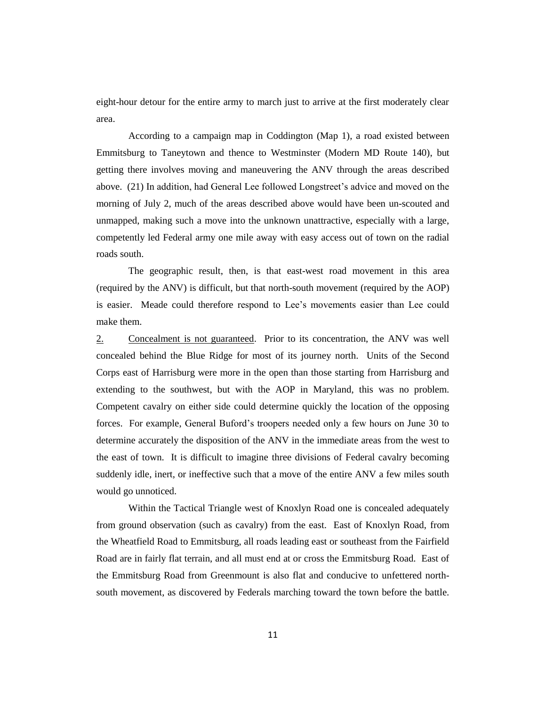eight-hour detour for the entire army to march just to arrive at the first moderately clear area.

According to a campaign map in Coddington (Map 1), a road existed between Emmitsburg to Taneytown and thence to Westminster (Modern MD Route 140), but getting there involves moving and maneuvering the ANV through the areas described above. (21) In addition, had General Lee followed Longstreet's advice and moved on the morning of July 2, much of the areas described above would have been un-scouted and unmapped, making such a move into the unknown unattractive, especially with a large, competently led Federal army one mile away with easy access out of town on the radial roads south.

The geographic result, then, is that east-west road movement in this area (required by the ANV) is difficult, but that north-south movement (required by the AOP) is easier. Meade could therefore respond to Lee's movements easier than Lee could make them.

2. Concealment is not guaranteed. Prior to its concentration, the ANV was well concealed behind the Blue Ridge for most of its journey north. Units of the Second Corps east of Harrisburg were more in the open than those starting from Harrisburg and extending to the southwest, but with the AOP in Maryland, this was no problem. Competent cavalry on either side could determine quickly the location of the opposing forces. For example, General Buford's troopers needed only a few hours on June 30 to determine accurately the disposition of the ANV in the immediate areas from the west to the east of town. It is difficult to imagine three divisions of Federal cavalry becoming suddenly idle, inert, or ineffective such that a move of the entire ANV a few miles south would go unnoticed.

Within the Tactical Triangle west of Knoxlyn Road one is concealed adequately from ground observation (such as cavalry) from the east. East of Knoxlyn Road, from the Wheatfield Road to Emmitsburg, all roads leading east or southeast from the Fairfield Road are in fairly flat terrain, and all must end at or cross the Emmitsburg Road. East of the Emmitsburg Road from Greenmount is also flat and conducive to unfettered northsouth movement, as discovered by Federals marching toward the town before the battle.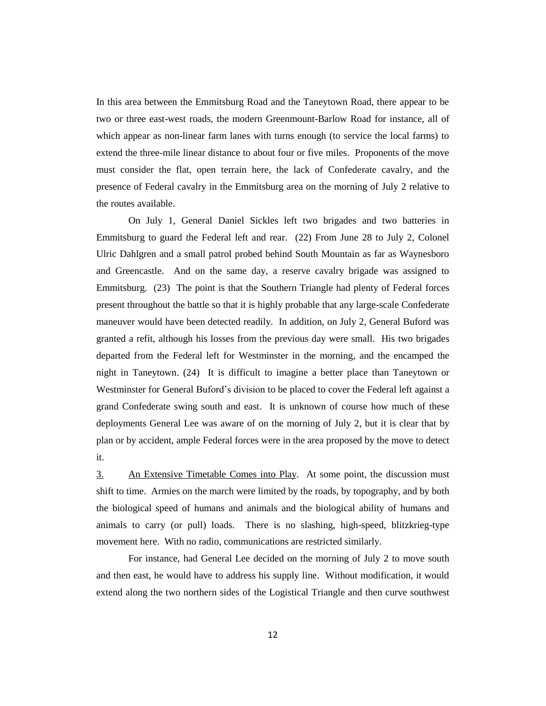In this area between the Emmitsburg Road and the Taneytown Road, there appear to be two or three east-west roads, the modern Greenmount-Barlow Road for instance, all of which appear as non-linear farm lanes with turns enough (to service the local farms) to extend the three-mile linear distance to about four or five miles. Proponents of the move must consider the flat, open terrain here, the lack of Confederate cavalry, and the presence of Federal cavalry in the Emmitsburg area on the morning of July 2 relative to the routes available.

On July 1, General Daniel Sickles left two brigades and two batteries in Emmitsburg to guard the Federal left and rear. (22) From June 28 to July 2, Colonel Ulric Dahlgren and a small patrol probed behind South Mountain as far as Waynesboro and Greencastle. And on the same day, a reserve cavalry brigade was assigned to Emmitsburg. (23) The point is that the Southern Triangle had plenty of Federal forces present throughout the battle so that it is highly probable that any large-scale Confederate maneuver would have been detected readily. In addition, on July 2, General Buford was granted a refit, although his losses from the previous day were small. His two brigades departed from the Federal left for Westminster in the morning, and the encamped the night in Taneytown. (24) It is difficult to imagine a better place than Taneytown or Westminster for General Buford's division to be placed to cover the Federal left against a grand Confederate swing south and east. It is unknown of course how much of these deployments General Lee was aware of on the morning of July 2, but it is clear that by plan or by accident, ample Federal forces were in the area proposed by the move to detect it.

3. An Extensive Timetable Comes into Play*.* At some point, the discussion must shift to time. Armies on the march were limited by the roads, by topography, and by both the biological speed of humans and animals and the biological ability of humans and animals to carry (or pull) loads. There is no slashing, high-speed, blitzkrieg-type movement here. With no radio, communications are restricted similarly.

For instance, had General Lee decided on the morning of July 2 to move south and then east, he would have to address his supply line. Without modification, it would extend along the two northern sides of the Logistical Triangle and then curve southwest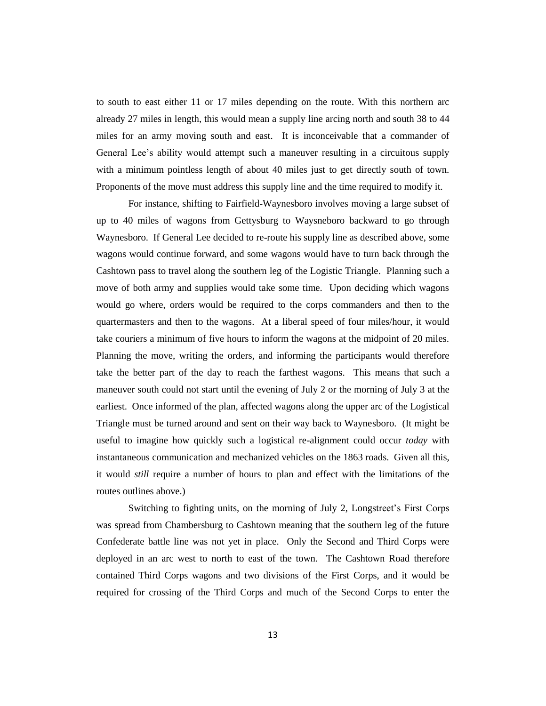to south to east either 11 or 17 miles depending on the route. With this northern arc already 27 miles in length, this would mean a supply line arcing north and south 38 to 44 miles for an army moving south and east. It is inconceivable that a commander of General Lee's ability would attempt such a maneuver resulting in a circuitous supply with a minimum pointless length of about 40 miles just to get directly south of town. Proponents of the move must address this supply line and the time required to modify it.

For instance, shifting to Fairfield-Waynesboro involves moving a large subset of up to 40 miles of wagons from Gettysburg to Waysneboro backward to go through Waynesboro. If General Lee decided to re-route his supply line as described above, some wagons would continue forward, and some wagons would have to turn back through the Cashtown pass to travel along the southern leg of the Logistic Triangle. Planning such a move of both army and supplies would take some time. Upon deciding which wagons would go where, orders would be required to the corps commanders and then to the quartermasters and then to the wagons. At a liberal speed of four miles/hour, it would take couriers a minimum of five hours to inform the wagons at the midpoint of 20 miles. Planning the move, writing the orders, and informing the participants would therefore take the better part of the day to reach the farthest wagons. This means that such a maneuver south could not start until the evening of July 2 or the morning of July 3 at the earliest. Once informed of the plan, affected wagons along the upper arc of the Logistical Triangle must be turned around and sent on their way back to Waynesboro. (It might be useful to imagine how quickly such a logistical re-alignment could occur *today* with instantaneous communication and mechanized vehicles on the 1863 roads. Given all this, it would *still* require a number of hours to plan and effect with the limitations of the routes outlines above.)

Switching to fighting units, on the morning of July 2, Longstreet's First Corps was spread from Chambersburg to Cashtown meaning that the southern leg of the future Confederate battle line was not yet in place. Only the Second and Third Corps were deployed in an arc west to north to east of the town. The Cashtown Road therefore contained Third Corps wagons and two divisions of the First Corps, and it would be required for crossing of the Third Corps and much of the Second Corps to enter the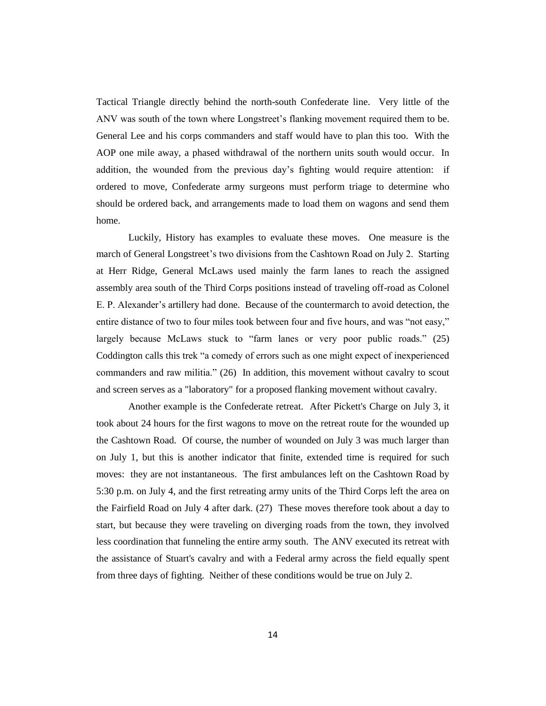Tactical Triangle directly behind the north-south Confederate line. Very little of the ANV was south of the town where Longstreet's flanking movement required them to be. General Lee and his corps commanders and staff would have to plan this too. With the AOP one mile away, a phased withdrawal of the northern units south would occur. In addition, the wounded from the previous day's fighting would require attention: if ordered to move, Confederate army surgeons must perform triage to determine who should be ordered back, and arrangements made to load them on wagons and send them home.

Luckily, History has examples to evaluate these moves. One measure is the march of General Longstreet's two divisions from the Cashtown Road on July 2. Starting at Herr Ridge, General McLaws used mainly the farm lanes to reach the assigned assembly area south of the Third Corps positions instead of traveling off-road as Colonel E. P. Alexander's artillery had done. Because of the countermarch to avoid detection, the entire distance of two to four miles took between four and five hours, and was "not easy," largely because McLaws stuck to "farm lanes or very poor public roads." (25) Coddington calls this trek "a comedy of errors such as one might expect of inexperienced commanders and raw militia." (26) In addition, this movement without cavalry to scout and screen serves as a "laboratory" for a proposed flanking movement without cavalry.

Another example is the Confederate retreat. After Pickett's Charge on July 3, it took about 24 hours for the first wagons to move on the retreat route for the wounded up the Cashtown Road. Of course, the number of wounded on July 3 was much larger than on July 1, but this is another indicator that finite, extended time is required for such moves: they are not instantaneous. The first ambulances left on the Cashtown Road by 5:30 p.m. on July 4, and the first retreating army units of the Third Corps left the area on the Fairfield Road on July 4 after dark. (27) These moves therefore took about a day to start, but because they were traveling on diverging roads from the town, they involved less coordination that funneling the entire army south. The ANV executed its retreat with the assistance of Stuart's cavalry and with a Federal army across the field equally spent from three days of fighting. Neither of these conditions would be true on July 2.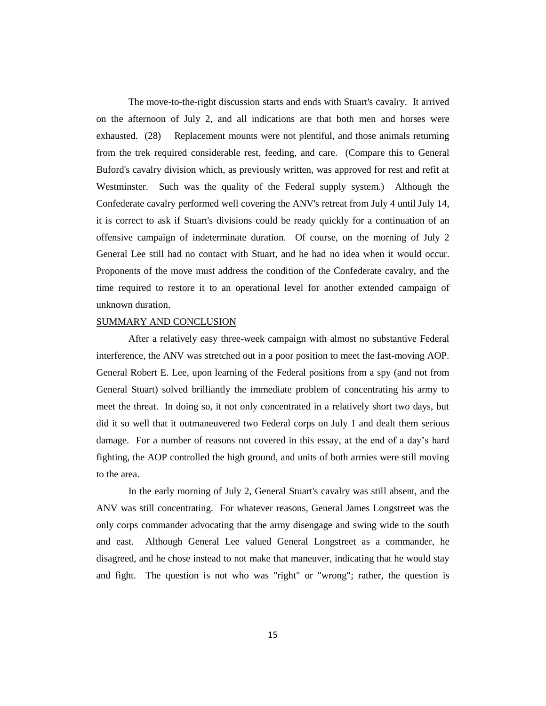The move-to-the-right discussion starts and ends with Stuart's cavalry. It arrived on the afternoon of July 2, and all indications are that both men and horses were exhausted. (28) Replacement mounts were not plentiful, and those animals returning from the trek required considerable rest, feeding, and care. (Compare this to General Buford's cavalry division which, as previously written, was approved for rest and refit at Westminster. Such was the quality of the Federal supply system.) Although the Confederate cavalry performed well covering the ANV's retreat from July 4 until July 14, it is correct to ask if Stuart's divisions could be ready quickly for a continuation of an offensive campaign of indeterminate duration. Of course, on the morning of July 2 General Lee still had no contact with Stuart, and he had no idea when it would occur. Proponents of the move must address the condition of the Confederate cavalry, and the time required to restore it to an operational level for another extended campaign of unknown duration.

## SUMMARY AND CONCLUSION

After a relatively easy three-week campaign with almost no substantive Federal interference, the ANV was stretched out in a poor position to meet the fast-moving AOP. General Robert E. Lee, upon learning of the Federal positions from a spy (and not from General Stuart) solved brilliantly the immediate problem of concentrating his army to meet the threat. In doing so, it not only concentrated in a relatively short two days, but did it so well that it outmaneuvered two Federal corps on July 1 and dealt them serious damage. For a number of reasons not covered in this essay, at the end of a day's hard fighting, the AOP controlled the high ground, and units of both armies were still moving to the area.

In the early morning of July 2, General Stuart's cavalry was still absent, and the ANV was still concentrating. For whatever reasons, General James Longstreet was the only corps commander advocating that the army disengage and swing wide to the south and east. Although General Lee valued General Longstreet as a commander, he disagreed, and he chose instead to not make that maneuver, indicating that he would stay and fight. The question is not who was "right" or "wrong"; rather, the question is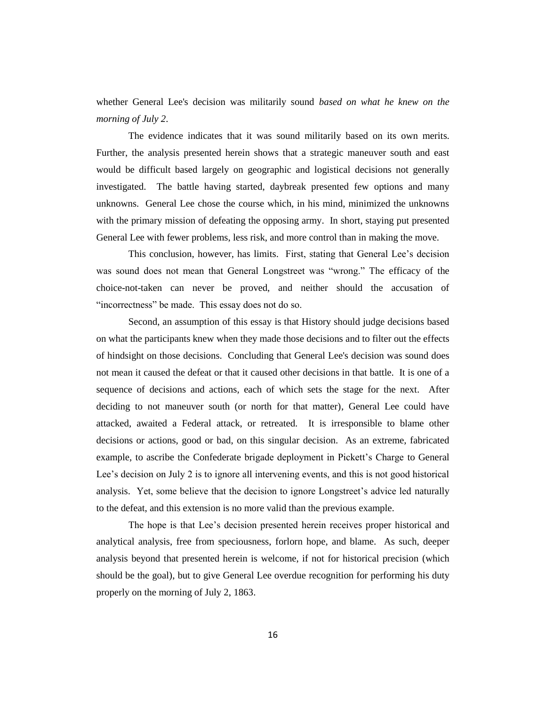whether General Lee's decision was militarily sound *based on what he knew on the morning of July 2*.

The evidence indicates that it was sound militarily based on its own merits. Further, the analysis presented herein shows that a strategic maneuver south and east would be difficult based largely on geographic and logistical decisions not generally investigated. The battle having started, daybreak presented few options and many unknowns. General Lee chose the course which, in his mind, minimized the unknowns with the primary mission of defeating the opposing army. In short, staying put presented General Lee with fewer problems, less risk, and more control than in making the move.

This conclusion, however, has limits. First, stating that General Lee's decision was sound does not mean that General Longstreet was "wrong." The efficacy of the choice-not-taken can never be proved, and neither should the accusation of "incorrectness" be made. This essay does not do so.

Second, an assumption of this essay is that History should judge decisions based on what the participants knew when they made those decisions and to filter out the effects of hindsight on those decisions. Concluding that General Lee's decision was sound does not mean it caused the defeat or that it caused other decisions in that battle. It is one of a sequence of decisions and actions, each of which sets the stage for the next. After deciding to not maneuver south (or north for that matter), General Lee could have attacked, awaited a Federal attack, or retreated. It is irresponsible to blame other decisions or actions, good or bad, on this singular decision. As an extreme, fabricated example, to ascribe the Confederate brigade deployment in Pickett's Charge to General Lee's decision on July 2 is to ignore all intervening events, and this is not good historical analysis. Yet, some believe that the decision to ignore Longstreet's advice led naturally to the defeat, and this extension is no more valid than the previous example.

The hope is that Lee's decision presented herein receives proper historical and analytical analysis, free from speciousness, forlorn hope, and blame. As such, deeper analysis beyond that presented herein is welcome, if not for historical precision (which should be the goal), but to give General Lee overdue recognition for performing his duty properly on the morning of July 2, 1863.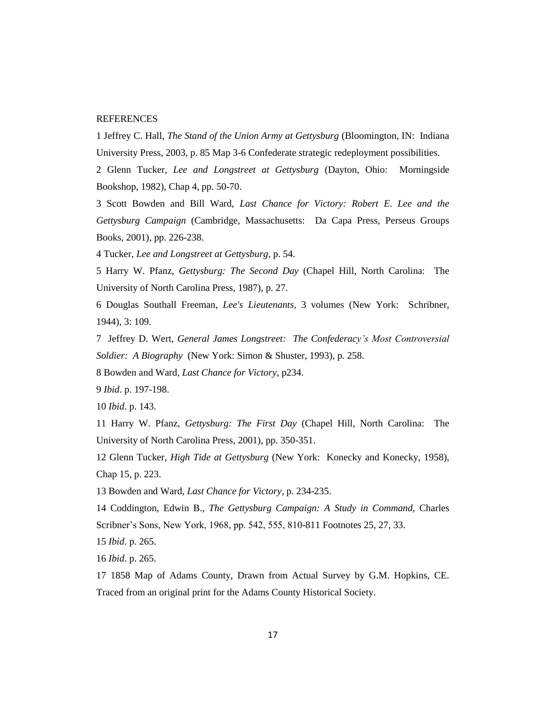## REFERENCES

1 Jeffrey C. Hall, *The Stand of the Union Army at Gettysburg* (Bloomington, IN: Indiana University Press, 2003, p. 85 Map 3-6 Confederate strategic redeployment possibilities.

2 Glenn Tucker, *Lee and Longstreet at Gettysburg* (Dayton, Ohio: Morningside Bookshop, 1982), Chap 4, pp. 50-70.

3 Scott Bowden and Bill Ward, *Last Chance for Victory: Robert E. Lee and the Gettysburg Campaign* (Cambridge, Massachusetts: Da Capa Press, Perseus Groups Books, 2001), pp. 226-238.

4 Tucker, *Lee and Longstreet at Gettysburg,* p. 54.

5 Harry W. Pfanz, *Gettysburg: The Second Day* (Chapel Hill, North Carolina: The University of North Carolina Press, 1987), p. 27.

6 Douglas Southall Freeman, *Lee's Lieutenants,* 3 volumes (New York: Schribner, 1944), 3: 109.

7 Jeffrey D. Wert, *General James Longstreet: The Confederacy's Most Controversial Soldier: A Biography* (New York: Simon & Shuster, 1993), p. 258.

8 Bowden and Ward, *Last Chance for Victory*, p234.

9 *Ibid*. p. 197-198.

10 *Ibid*. p. 143.

11 Harry W. Pfanz, *Gettysburg: The First Day* (Chapel Hill, North Carolina: The University of North Carolina Press, 2001), pp. 350-351.

12 Glenn Tucker, *High Tide at Gettysburg* (New York: Konecky and Konecky, 1958), Chap 15, p. 223.

13 Bowden and Ward, *Last Chance for Victory*, p. 234-235.

14 Coddington, Edwin B., *The Gettysburg Campaign: A Study in Command,* Charles Scribner's Sons, New York, 1968, pp. 542, 555, 810-811 Footnotes 25, 27, 33.

15 *Ibid*. p. 265.

16 *Ibid*. p. 265.

17 1858 Map of Adams County, Drawn from Actual Survey by G.M. Hopkins, CE. Traced from an original print for the Adams County Historical Society.